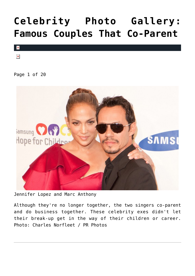### **[Celebrity Photo Gallery:](https://cupidspulse.com/101964/celebrity-photo-gallery-famous-couples-that-co-parent/) [Famous Couples That Co-Parent](https://cupidspulse.com/101964/celebrity-photo-gallery-famous-couples-that-co-parent/)**



 $\pmb{\times}$ 

Page 1 of 20



Jennifer Lopez and Marc Anthony

Although they're no longer together, the two singers co-parent and do business together. These celebrity exes didn't let their break-up get in the way of their children or career. Photo: Charles Norfleet / PR Photos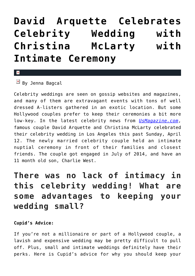### **[David Arquette Celebrates](https://cupidspulse.com/90886/david-arquette-celebrity-wedding-christina-mclarty/) [Celebrity Wedding with](https://cupidspulse.com/90886/david-arquette-celebrity-wedding-christina-mclarty/) [Christina McLarty with](https://cupidspulse.com/90886/david-arquette-celebrity-wedding-christina-mclarty/) [Intimate Ceremony](https://cupidspulse.com/90886/david-arquette-celebrity-wedding-christina-mclarty/)**

#### $\mathbf{x}$

 $\boxed{\times}$  By Jenna Bagcal

Celebrity weddings are seen on gossip websites and magazines, and many of them are extravagant events with tons of well dressed A-listers gathered in an exotic location. But some Hollywood couples prefer to keep their ceremonies a bit more low-key. In the latest celebrity news from *[UsMagazine.com](http://www.usmagazine.com/celebrity-news/news/david-arquette-marries-fiancee-christina-mclarty-details-2015124)*, famous couple David Arquette and Christina McLarty celebrated their celebrity wedding in Los Angeles this past Sunday, April 12. The newly married celebrity couple held an intimate nuptial ceremony in front of their families and closest friends. The couple got engaged in July of 2014, and have an 11 month old son, Charlie West.

### **There was no lack of intimacy in this celebrity wedding! What are some advantages to keeping your wedding small?**

#### **Cupid's Advice:**

If you're not a millionaire or part of a Hollywood couple, a lavish and expensive wedding may be pretty difficult to pull off. Plus, small and intimate weddings definitely have their perks. Here is Cupid's advice for why you should keep your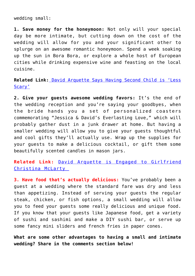wedding small:

**1. Save money for the honeymoon:** Not only will your special day be more intimate, but cutting down on the cost of the wedding will allow for you and your significant other to splurge on an awesome romantic honeymoon. Spend a week soaking up the sun in Bora Bora, or explore a whole host of European cities while drinking expensive wine and feasting on the local cuisine.

**Related Link:** [David Arquette Says Having Second Child is 'Less](http://cupidspulse.com/67850/david-arquette-says-having-a-second-child-is-less-scary/) [Scary'](http://cupidspulse.com/67850/david-arquette-says-having-a-second-child-is-less-scary/)

**2. Give your guests awesome wedding favors:** It's the end of the wedding reception and you're saying your goodbyes, when the bride hands you a set of personalized coasters commemorating "Jessica & David's Everlasting Love," which will probably gather dust in a junk drawer at home. But having a smaller wedding will allow you to give your guests thoughtful and cool gifts they'll actually use. Wrap up the supplies for your guests to make a delicious cocktail, or gift them some beautifully scented candles in mason jars.

**Related Link:** [David Arquette is Engaged to Girlfriend](http://cupidspulse.com/77018/david-arquette-engaged-girlfriend/) [Christina McLarty](http://cupidspulse.com/77018/david-arquette-engaged-girlfriend/) 

**3. Have food that's actually delicious:** You've probably been a guest at a wedding where the standard fare was dry and less than appetizing. Instead of serving your guests the regular steak, chicken, or fish options, a small wedding will allow you to feed your guests some really delicious and unique food. If you know that your guests like Japanese food, get a variety of sushi and sashimi and make a DIY sushi bar, or serve up some fancy mini sliders and french fries in paper cones.

**What are some other advantages to having a small and intimate wedding? Share in the comments section below!**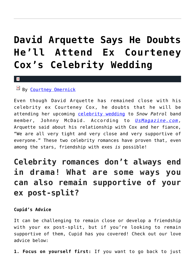### **[David Arquette Says He Doubts](https://cupidspulse.com/79143/courteney-coxs-wedding/) [He'll Attend Ex Courteney](https://cupidspulse.com/79143/courteney-coxs-wedding/) [Cox's Celebrity Wedding](https://cupidspulse.com/79143/courteney-coxs-wedding/)**

#### x

### By [Courtney Omernick](http://cupidspulse.com/105759/courtney-omernick/)

Even though David Arquette has remained close with his celebrity ex Courteney Cox, he doubts that he will be attending her upcoming [celebrity wedding](http://cupidspulse.com/celebrity-relationships/wedding-engagement/) to *Snow Patrol* band member, Johnny McDaid. According to *[UsMagazine.com](http://www.usmagazine.com/celebrity-news/news/david-arquette-doubts-hell-attend-ex-courteney-coxs-wedding--201498)*, Arquette said about his relationship with Cox and her fiance, "We are all very tight and very close and very supportive of everyone." These two celebrity romances have proven that, even among the stars, friendship with exes *is* possible!

### **Celebrity romances don't always end in drama! What are some ways you can also remain supportive of your ex post-split?**

### **Cupid's Advice**

It can be challenging to remain close or develop a friendship with your ex post-split, but if you're looking to remain supportive of them, Cupid has you covered! Check out our love advice below:

**1. Focus on yourself first:** If you want to go back to just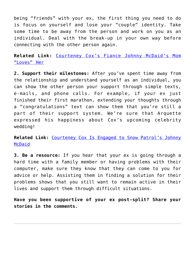being "friends" with your ex, the first thing you need to do is focus on yourself and lose your "couple" identity. Take some time to be away from the person and work on you as an individual. Deal with the break-up in your own way before connecting with the other person again.

**Related Link:** [Courteney Cox's Fiance Johnny McDaid's Mom](http://cupidspulse.com/courteney-cox-johnny-mcdaid-mom/) ["Loves" Her](http://cupidspulse.com/courteney-cox-johnny-mcdaid-mom/)

**2. Support their milestones:** After you've spent time away from the relationship and understand yourself as an individual, you can show the other person your support through simple texts, e-mails, and phone calls. For example, if your ex just finished their first marathon, extending your thoughts through a "congratulations" text can show them that you're still a part of their support system. We're sure that Arquette expressed his happiness about Cox's upcoming celebrity wedding!

**Related Link:** [Courteney Cox Is Engaged to Snow Patrol's Johnny](http://cupidspulse.com/courteney-cox-engaged-to-johnny-mcdaid/) [McDaid](http://cupidspulse.com/courteney-cox-engaged-to-johnny-mcdaid/)

**3. Be a resource:** If you hear that your ex is going through a hard time with a family member or having problems with their computer, make sure they know that they can come to you for advice or help. Assisting them in finding a solution for their problems shows that you still want to remain active in their lives and support them through difficult situations.

**Have you been supportive of your ex post-split? Share your stories in the comments.**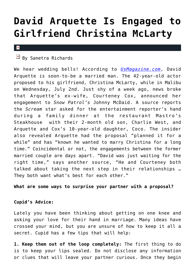### **[David Arquette Is Engaged to](https://cupidspulse.com/77018/david-arquette-engaged-girlfriend/) [Girlfriend Christina McLarty](https://cupidspulse.com/77018/david-arquette-engaged-girlfriend/)**

#### $\pmb{\times}$

### $\mathbb{F}$  By Sanetra Richards

We hear wedding bells! According to *[UsMagazine.com](http://www.usmagazine.com/celebrity-news/news/david-arquette-is-engaged-to-girlfriend-christina-mclarty-details-201427)*, David Arquette is soon-to-be a married man. The 42-year-old actor proposed to his girlfriend, Christina McLarty, while in Malibu on Wednesday, July 2nd. Just shy of a week ago, news broke that Arquette's ex-wife, Courteney Cox, announced her engagement to *Snow Patrol's* Johnny McDaid. A source reports the *Scream* star asked for the entertainment reporter's hand during a family dinner at the restaurant Mastro's Steakhouse with their 2-month old son, Charlie West, and Arquette and Cox's 10-year-old daughter, Coco. The insider also revealed Arquette had the proposal "planned it for a while" and has "known he wanted to marry Christina for a long time." Coincidental or not, the engagements between the former married couple are days apart. "David was just waiting for the right time," says another source, "He and Courteney both talked about taking the next step in their relationships … They both want what's best for each other."

### **What are some ways to surprise your partner with a proposal?**

### **Cupid's Advice:**

Lately you have been thinking about getting on one knee and asking your love for their hand in marriage. Many ideas have crossed your mind, but you are unsure of how to keep it all a secret. Cupid has a few tips that will help:

**1. Keep them out of the loop completely:** The first thing to do is to keep your lips sealed. Do not disclose any information or clues that will leave your partner curious. Once they begin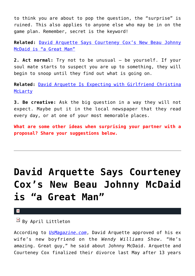to think you are about to pop the question, the "surprise" is ruined. This also applies to anyone else who may be in on the game plan. Remember, secret is the keyword!

**Related:** [David Arquette Says Courteney Cox's New Beau Johnny](http://cupidspulse.com/david-arquette-courteney-cox-beau-johnny-mcdaid-great/) [McDaid is "a Great Man"](http://cupidspulse.com/david-arquette-courteney-cox-beau-johnny-mcdaid-great/)

**2. Act normal:** Try not to be unusual – be yourself. If your soul mate starts to suspect you are up to something, they will begin to snoop until they find out what is going on.

**Related:** [David Arquette Is Expecting with Girlfriend Christina](http://cupidspulse.com/david-arquette-expecting-pregnancy-girlfriend-christina-mclarty/) [McLarty](http://cupidspulse.com/david-arquette-expecting-pregnancy-girlfriend-christina-mclarty/)

**3. Be creative:** Ask the big question in a way they will not expect. Maybe put it in the local newspaper that they read every day, or at one of your most memorable places.

**What are some other ideas when surprising your partner with a proposal? Share your suggestions below.**

# **[David Arquette Says Courteney](https://cupidspulse.com/70855/david-arquette-courteney-cox-beau-johnny-mcdaid-great/) [Cox's New Beau Johnny McDaid](https://cupidspulse.com/70855/david-arquette-courteney-cox-beau-johnny-mcdaid-great/) [is "a Great Man"](https://cupidspulse.com/70855/david-arquette-courteney-cox-beau-johnny-mcdaid-great/)**

 $\mathbf{x}$ 

 $\overline{B}$  By April Littleton

According to *[UsMagazine.com](http://www.usmagazine.com/celebrity-news/news/david-arquette-approves-of-ex-wife-courteney-coxs-boyfriend-johnny-mcdaid-hes-a-great-man-2014242)*, David Arquette approved of his ex wife's new boyfriend on the *Wendy Williams Show*. "He's amazing. Great guy," he said about Johnny McDaid. Arquette and Courteney Cox finalized their divorce last May after 13 years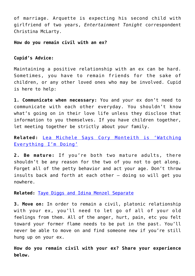of marriage. Arquette is expecting his second child with girlfriend of two years, *Entertainment Tonight* correspondent Christina McLarty.

**How do you remain civil with an ex?**

### **Cupid's Advice:**

Maintaining a positive relationship with an ex can be hard. Sometimes, you have to remain friends for the sake of children, or any other loved ones who may be involved. Cupid is here to help:

**1. Communicate when necessary:** You and your ex don't need to communicate with each other everyday. You shouldn't know what's going on in their love life unless they disclose that information to you themselves. If you have children together, let meeting together be strictly about your family.

**Related:** [Lea Michele Says Cory Monteith is 'Watching](http://cupidspulse.com/lea-michele-says-cory-monteith-is-watching-everything-im-doing/) [Everything I'm Doing'](http://cupidspulse.com/lea-michele-says-cory-monteith-is-watching-everything-im-doing/)

**2. Be mature:** If you're both two mature adults, there shouldn't be any reason for the two of you not to get along. Forget all of the petty behavior and act your age. Don't throw insults back and forth at each other – doing so will get you nowhere.

**Related:** [Taye Diggs and Idina Menzel Separate](http://cupidspulse.com/taye-diggs-idina-menzel-separate/)

**3. Move on:** In order to remain a civil, platonic relationship with your ex, you'll need to let go of all of your old feelings from them. All of the anger, hurt, pain, etc you felt toward your former flame needs to be put in the past. You'll never be able to move on and find someone new if you're still hung up on your ex.

**How do you remain civil with your ex? Share your experience below.**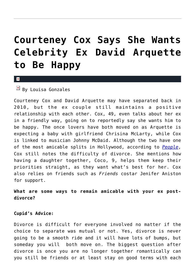### **[Courteney Cox Says She Wants](https://cupidspulse.com/68693/courteney-cox-wants-ex-david-arquette-happy/) [Celebrity Ex David Arquette](https://cupidspulse.com/68693/courteney-cox-wants-ex-david-arquette-happy/) [to Be Happy](https://cupidspulse.com/68693/courteney-cox-wants-ex-david-arquette-happy/)**

x

By Louisa Gonzales

Courteney Cox and David Arquette may have separated back in 2010, but the ex couple still maintains a positive relationship with each other. Cox, 49, even talks about her ex in a friendly way, going on to reportedly say she wants him to be happy. The once lovers have both moved on as Arquette is expecting a baby with girlfriend Chrisina McLarty, while Cox is linked to musician Johnny McDaid. Although the two have one of the most amicable splits in Hollywood, according to *[People](http://www.people.com/people/article/0,,20780705,00.html)*, Cox still notes the difficulty of divorce. She mentions how having a daughter together, Coco, 9, helps them keep their priorities straight, as they want what's best for her. Cox also relies on friends such as *Friends* costar Jenifer Aniston for support.

**What are some ways to remain amicable with your ex postdivorce?**

#### **Cupid's Advice:**

Divorce is difficult for everyone involved no matter if the choice to separate was mutual or not. Yes, divorce is never going to be a smooth ride and it will have lots of bumps, but someday you will both move on. The biggest question after divorce is once you are no longer together romantically can you still be friends or at least stay on good terms with each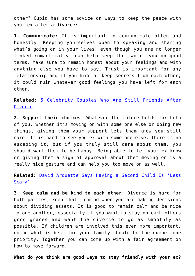other? Cupid has some advice on ways to keep the peace with your ex after a divorce:

**1. Communicate:** It is important to communicate often and honestly. Keeping yourselves open to speaking and sharing what's going on in your lives, even though you are no longer linked romantically, can help keep the two of you on good terms. Make sure to remain honest about your feelings and with anything else you have to say. Trust is important for any relationship and if you hide or keep secrets from each other, it could ruin whatever good feelings you have left for each other.

**Related:** [5 Celebrity Couples Who Are Still Friends After](http://cupidspulse.com/celebrity-couples-still-friends-after-divorce/) [Divorce](http://cupidspulse.com/celebrity-couples-still-friends-after-divorce/)

**2. Support their choices:** Whatever the future holds for both of you, whether it's moving on with some one else or doing new things, giving them your support lets them know you still care. It is hard to see you ex with some one else, there is no escaping it, but if you truly still care about them, you should want them to be happy. Being able to let your ex know or giving them a sign of approval about them moving on is a really nice gesture and can help you too move on as well.

**Related:** [David Arquette Says Having a Second Child Is 'Less](http://cupidspulse.com/david-arquette-says-having-a-second-child-is-less-scary/) [Scary'](http://cupidspulse.com/david-arquette-says-having-a-second-child-is-less-scary/)

**3. Keep calm and be kind to each other:** Divorce is hard for both parties, keep that in mind when you are making decisions about dividing assets. It is good to remain calm and be nice to one another, especially if you want to stay on each others good graces and want the divorce to go as smoothly as possible. If children are involved this even more important, doing what is best for your family should be the number one priority. Together you can come up with a fair agreement on how to move forward.

**What do you think are good ways to stay friendly with your ex?**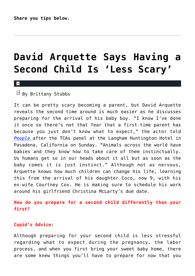## **[David Arquette Says Having a](https://cupidspulse.com/67850/david-arquette-says-having-a-second-child-is-less-scary/) [Second Child Is 'Less Scary'](https://cupidspulse.com/67850/david-arquette-says-having-a-second-child-is-less-scary/)**

 $\overline{B}$  By Brittany Stubbs

It can be pretty scary becoming a parent, but David Arquette reveals the second time around is much easier as he discusses preparing for the arrival of his baby boy. "I know I've done it once so there's not that fear that a first-time parent has because you just don't know what to expect," the actor told *[People](http://celebritybabies.people.com/2014/01/14/cleaners-david-arquette-tcas-fatherhood/)* after the TCAs panel at the Langham Huntington Hotel in Pasadena, California on Sunday. "Animals across the world have babies and they know how to take care of them instinctually. Us humans get so in our heads about it all but as soon as the baby comes it is just instinct." Although not as nervous, Arquette knows how much children can change his life, learning this from the arrival of his daughter Coco, now 9, with his ex-wife Courtney Cox. He is making sure to schedule his work around his girlfriend Christina McLarty's due date.

**How do you prepare for a second child differently than your first?**

#### **Cupid's Advice:**

Although preparing for your second child is less stressful regarding what to expect during the pregnancy, the labor process, and when you first bring your sweet baby home, there are some knew things you'll have to prepare for now that you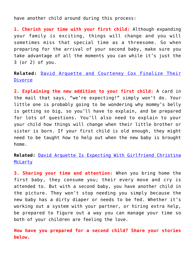have another child around during this process:

**1. Cherish your time with your first child:** Although expanding your family is exciting, things will change and you will sometimes miss that special time as a threesome. So when preparing for the arrival of your second baby, make sure you take advantage of all the moments you can while it's just the 3 (or 2) of you.

**Related:** [David Arquette and Courteney Cox Finalize Their](http://cupidspulse.com/courteney-cox-david-arquette-finalize-divorce-separation/) [Divorce](http://cupidspulse.com/courteney-cox-david-arquette-finalize-divorce-separation/)

**2. Explaining the new addition to your first child:** A card in the mail that says, "we're expecting!" simply won't do. Your little one is probably going to be wondering why mommy's belly is getting so big, so you'll have to explain, and be prepared for lots of questions. You'll also need to explain to your your child how things will change when their little brother or sister is born. If your first child is old enough, they might need to be taught how to help out when the new baby is brought home.

**Related:** [David Arquette Is Expecting With Girlfriend Christina](http://cupidspulse.com/david-arquette-expecting-pregnancy-girlfriend-christina-mclarty/) [McLarty](http://cupidspulse.com/david-arquette-expecting-pregnancy-girlfriend-christina-mclarty/)

**3. Sharing your time and attention:** When you bring home the first baby, they consume you; their every move and cry is attended to. But with a second baby, you have another child in the picture. They won't stop needing you simply because the new baby has a dirty diaper or needs to be fed. Whether it's working out a system with your partner, or hiring extra help, be prepared to figure out a way you can manage your time so both of your children are feeling the love.

**How have you prepared for a second child? Share your stories below.**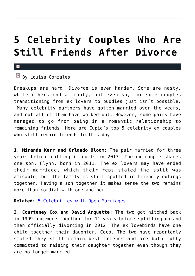### **[5 Celebrity Couples Who Are](https://cupidspulse.com/67287/celebrity-couples-still-friends-after-divorce/) [Still Friends After Divorce](https://cupidspulse.com/67287/celebrity-couples-still-friends-after-divorce/)**

### $\mathbf{x}$

### $\mathbb{F}$  By Louisa Gonzales

Breakups are hard. Divorce is even harder. Some are nasty, while others end amicably, but even so, for some couples transitioning from ex lovers to buddies just isn't possible. Many celebrity partners have gotten married over the years, and not all of them have worked out. However, some pairs have managed to go from being in a romantic relationship to remaining friends. Here are Cupid's top 5 celebrity ex couples who still remain friends to this day.

**1. Miranda Kerr and Orlando Bloom:** The pair married for three years before calling it quits in 2013. The ex couple shares one son, Flynn, born in 2011. The ex lovers may have ended their marriage, which their reps stated the split was amicable, but the family is still spotted in friendly outings together. Having a son together it makes sense the two remains more than cordial with one another.

**Related:** [5 Celebrities with Open Marriages](http://cupidspulse.com/5-celebrities-open-marriages/)

**2. Courteney Cox and David Arquette:** The two got hitched back in 1999 and were together for 11 years before splitting up and then officially divorcing in 2012. The ex lovebirds have one child together their daughter, Coco. The two have reportedly stated they still remain best friends and are both fully committed to raising their daughter together even though they are no longer married.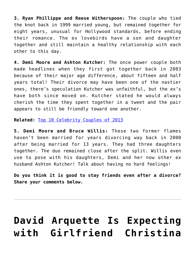**3. Ryan Phillippe and Reese Witherspoon:** The couple who tied the knot back in 1999 married young, but remained together for eight years, unusual for Hollywood standards, before ending their romance. The ex lovebirds have a son and daughter together and still maintain a healthy relationship with each other to this day.

**4. Demi Moore and Ashton Kutcher:** The once power couple both made headlines when they first got together back in 2003 because of their major age difference, about fifteen and half years total! Their divorce may have been one of the nastier ones, there's speculation Kutcher was unfaithful, but the ex's have both since moved on. Kutcher stated he would always cherish the time they spent together in a tweet and the pair appears to still be friendly toward one another.

**Related:** [Top 10 Celebrity Couples of 2013](http://cupidspulse.com/celebrity-couples-2013/)

**5. Demi Moore and Bruce Willis:** These two former flames haven't been married for years divorcing way back in 2000 after being married for 13 years. They had three daughters together. The duo remained close after the split. Willis even use to pose with his daughters, Demi and her now other ex husband Ashton Kutcher! Talk about having no hard feelings!

**Do you think it is good to stay friends even after a divorce? Share your comments below.**

### **[David Arquette Is Expecting](https://cupidspulse.com/61385/david-arquette-expecting-pregnancy-girlfriend-christina-mclarty/) [with Girlfriend Christina](https://cupidspulse.com/61385/david-arquette-expecting-pregnancy-girlfriend-christina-mclarty/)**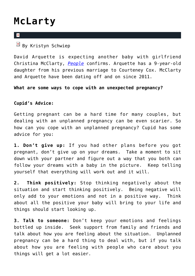### **[McLarty](https://cupidspulse.com/61385/david-arquette-expecting-pregnancy-girlfriend-christina-mclarty/)**

#### $\overline{\mathbf{x}}$

 $\overline{B}$  By Kristyn Schwiep

David Arquette is expecting another baby with girlfriend Christina McClarty, *[People](http://www.people.com/people/article/0,,20752720,00.html)* confirms. Arquette has a 9-year-old daughter from his previous marriage to Courteney Cox. McClarty and Arquette have been dating off and on since 2011.

**What are some ways to cope with an unexpected pregnancy?**

**Cupid's Advice:**

Getting pregnant can be a hard time for many couples, but dealing with an unplanned pregnancy can be even scarier. So how can you cope with an unplanned pregnancy? Cupid has some advice for you:

**1. Don't give up:** If you had other plans before you got pregnant, don't give up on your dreams. Take a moment to sit down with your partner and figure out a way that you both can follow your dreams with a baby in the picture. Keep telling yourself that everything will work out and it will.

**2. Think positively:** Stop thinking negatively about the situation and start thinking positively. Being negative will only add to your emotions and not in a positive way. Think about all the positive your baby will bring to your life and things should start looking up.

**3. Talk to someone:** Don't keep your emotions and feelings bottled up inside. Seek support from family and friends and talk about how you are feeling about the situation. Unplanned pregnancy can be a hard thing to deal with, but if you talk about how you are feeling with people who care about you things will get a lot easier.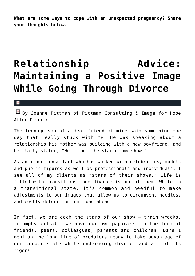**What are some ways to cope with an unexpected pregnancy? Share your thoughts below.**

### **[Relationship Advice:](https://cupidspulse.com/52777/positive-image-divorce-joanne-pittman-hope-after-divorce/) [Maintaining a Positive Image](https://cupidspulse.com/52777/positive-image-divorce-joanne-pittman-hope-after-divorce/) [While Going Through Divorce](https://cupidspulse.com/52777/positive-image-divorce-joanne-pittman-hope-after-divorce/)**

#### $\vert \mathbf{x} \vert$

 $\boxed{\times}$  By Joanne Pittman of Pittman Consulting & Image for Hope After Divorce

The teenage son of a dear friend of mine said something one day that really stuck with me. He was speaking about a relationship his mother was building with a new boyfriend, and he flatly stated, "He is not the star of my show!"

As an image consultant who has worked with celebrities, models and public figures as well as professionals and individuals, I see all of my clients as "stars of their shows." Life is filled with transitions, and divorce is one of them. While in a transitional state, it's common and needful to make adjustments to our images that allow us to circumvent needless and costly detours on our road ahead.

In fact, we are each the stars of our show – train wrecks, triumphs and all. We have our own paparazzi in the form of friends, peers, colleagues, parents and children. Dare I mention the long line of predators ready to take advantage of our tender state while undergoing divorce and all of its rigors?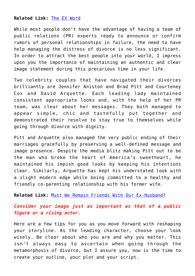### **Related Link:** [The EX Word](http://cupidspulse.com/the-ex-word-monique-honaman-hope-after-divorce/)

While most people don't have the advantage of having a team of public relations (PR) experts ready to announce or confirm rumors of personal relationships in failure, the need to have help managing the distress of divorce is no less significant. In order to attract the best people into your world, I impress upon you the importance of maintaining an authentic and clear image statement during this precarious time in your life.

Two celebrity couples that have navigated their divorces brilliantly are Jennifer Aniston and Brad Pitt and Courteney Cox and David Arquette. Each leading lady maintained consistent appropriate looks and, with the help of her PR team, was clear about her messages. They both managed to appear simple, chic and tastefully put together and demonstrated their resolve to stay true to themselves while going through divorce with dignity.

Pitt and Arquette also managed the very public ending of their marriages gracefully by preserving a well-defined message and image presence. Despite the media blitz making Pitt out to be the man who broke the heart of America's sweetheart, he maintained his impish good looks by keeping his intentions clear. Similarly, Arquette has kept his understated look with a slight modern edge while being committed to a healthy and friendly co-parenting relationship with his former wife.

**Related Link:** [Must We Remain Friends With Our Ex-Husband?](http://cupidspulse.com/friendship-with-ex-husband-nancy-lang-hope-after-divorce/)

### *Consider your image just as important as that of a public figure or a rising actor***.**

Here are a few tips for you as you move forward with reshaping your storyline. As the leading character, choose your look wisely. Be clear about who you are and why you matter. This isn't always easy to ascertain when going through the metamorphosis of divorce, but I assure you, now is the time to create your outline, your plot and your script.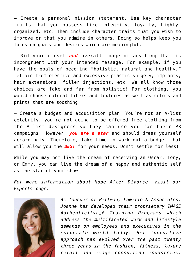— Create a personal mission statement. Use key character traits that you possess like integrity, loyalty, highlyorganized, etc. Then include character traits that you wish to improve or that you admire in others. Doing so helps keep you focus on goals and desires which are meaningful.

— Rid your closet *and* overall image of anything that is incongruent with your intended message. For example, if you have the goals of becoming "holistic, natural and healthy," refrain from elective and excessive plastic surgery, implants, hair extensions, filler injections, etc. We all know those choices are fake and far from holistic! For clothing, you would choose natural fibers and textures as well as colors and prints that are soothing.

— Create a budget and acquisition plan. You're not an A-list celebrity; you're not going to be offered free clothing from the A-list designers so they can use you for their PR campaigns. However, *you are a star* and should dress yourself accordingly. Therefore, take time to work out a budget that will allow you the *BEST* for your needs. Don't settle for less!

While you may not live the dream of receiving an Oscar, Tony, or Emmy, you can live the dream of a happy and authentic self as the star of your show!

*For more information about Hope After Divorce, visit our Experts page.*



*As founder of Pittman, Lamitie & Associates, Joanne has developed their proprietary IMAGE Authenticityâ"¢ Training Programs which address the multifaceted work and lifestyle demands on employees and executives in the corporate world today. Her innovative approach has evolved over the past twenty three years in the fashion, fitness, luxury retail and image consulting industries.*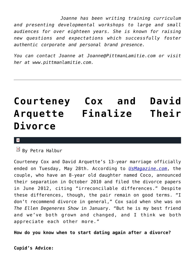*Joanne has been writing training curriculum and presenting developmental workshops to large and small audiences for over eighteen years. She is known for raising new questions and expectations which successfully foster authentic corporate and personal brand presence.*

*You can contact Joanne at Joanne@PittmanLamitie.com or visit her at www.pittmanlamitie.com.* 

### **[Courteney Cox and David](https://cupidspulse.com/51119/courteney-cox-david-arquette-finalize-divorce-separation/) [Arquette Finalize Their](https://cupidspulse.com/51119/courteney-cox-david-arquette-finalize-divorce-separation/) [Divorce](https://cupidspulse.com/51119/courteney-cox-david-arquette-finalize-divorce-separation/)**

 $\mathbb{F}$  By Petra Halbur

Courteney Cox and David Arquette's 13-year marriage officially ended on Tuesday, May 28th. According to *[UsMagazine.com](http://www.usmagazine.com/celebrity-news/news/courteney-cox-david-arquette-finalize-divorce-2013295)*, the couple, who have an 8-year old daughter named Coco, announced their separation in October 2010 and filed the divorce papers in June 2012, citing "irreconcilable differences." Despite these differences, though, the pair remain on good terms. "I don't recommend divorce in general," Cox said when she was on *The Ellen Degeneres Show* in January. "But he is my best friend and we've both grown and changed, and I think we both appreciate each other more."

**How do you know when to start dating again after a divorce?**

**Cupid's Advice:**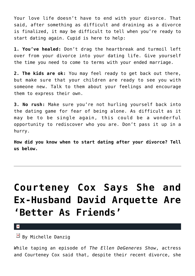Your love life doesn't have to end with your divorce. That said, after something as difficult and draining as a divorce is finalized, it may be difficult to tell when you're ready to start dating again. Cupid is here to help:

**1. You've healed:** Don't drag the heartbreak and turmoil left over from your divorce into your dating life. Give yourself the time you need to come to terms with your ended marriage.

**2. The kids are ok:** You may feel ready to get back out there, but make sure that your children are ready to see you with someone new. Talk to them about your feelings and encourage them to express their own.

**3. No rush:** Make sure you're not hurling yourself back into the dating game for fear of being alone. As difficult as it may be to be single again, this could be a wonderful opportunity to rediscover who you are. Don't pass it up in a hurry.

**How did you know when to start dating after your divorce? Tell us below.**

## **[Courteney Cox Says She and](https://cupidspulse.com/43439/courtney-cox-ex-husband-david-arquette-better-as-friends/) [Ex-Husband David Arquette Are](https://cupidspulse.com/43439/courtney-cox-ex-husband-david-arquette-better-as-friends/) ['Better As Friends'](https://cupidspulse.com/43439/courtney-cox-ex-husband-david-arquette-better-as-friends/)**

 $\mathbf{x}$ 

 $\overline{B}$  By Michelle Danzig

*W*hile taping an episode of *The Ellen DeGeneres Show*, actress and Courteney Cox said that, despite their recent divorce, she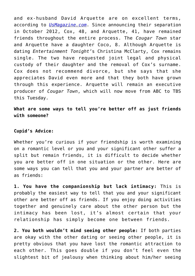and ex-husband David Arquette are on excellent terms, according to *[UsMagazine.com](http://www.usmagazine.com/celebrity-news/news/courteney-cox-i-love-david-arquette-but-were-better-as-friends-201361)*. Since announcing their separation in October 2012, Cox, 48, and Arquette, 41, have remained friends throughout the entire process. The *Cougar Town* star and Arquette have a daughter Coco, 8. Although Arquette is dating *Entertainment Tonight'*s Christina McClarty, Cox remains single. The two have requested joint legal and physical custody of their daughter and the removal of Cox's surname. Cox does not recommend divorce, but she says that she appreciates David even more and that they both have grown through this experience. Arquette will remain an executive producer of *Cougar Town*, which will now move from ABC to TBS this Tuesday.

**What are some ways to tell you're better off as just friends with someone?**

#### **Cupid's Advice:**

Whether you're curious if your friendship is worth examining on a romantic level or you and your significant other suffer a split but remain friends, it is difficult to decide whether you are better off in one situation or the other. Here are some ways you can tell that you and your partner are better of as friends:

**1. You have the companionship but lack intimacy:** This is probably the easiest way to tell that you and your significant other are better off as friends. If you enjoy doing activities together and genuinely care about the other person but the intimacy has been lost, it's almost certain that your relationship has simply become one between friends.

**2. You both wouldn't mind seeing other people:** If both parties are okay with the other dating or seeing other people, it is pretty obvious that you have lost the romantic attraction to each other. This goes double if you don't feel even the slightest bit of jealousy when thinking about him/her seeing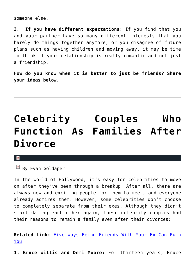someone else.

**3. If you have different expectations:** If you find that you and your partner have so many different interests that you barely do things together anymore, or you disagree of future plans such as having children and moving away, it may be time to think if your relationship is really romantic and not just a friendship.

**How do you know when it is better to just be friends? Share your ideas below.**

## **[Celebrity Couples Who](https://cupidspulse.com/34298/celebrity-couples-families-after-divorce-breakup/) [Function As Families After](https://cupidspulse.com/34298/celebrity-couples-families-after-divorce-breakup/) [Divorce](https://cupidspulse.com/34298/celebrity-couples-families-after-divorce-breakup/)**

#### $\pmb{\times}$

By Evan Goldaper

In the world of Hollywood, it's easy for celebrities to move on after they've been through a breakup. After all, there are always new and exciting people for them to meet, and everyone already admires them. However, some celebrities don't choose to completely separate from their exes. Although they didn't start dating each other again, these celebrity couples had their reasons to remain a family even after their divorces:

**Related Link:** [Five Ways Being Friends With Your Ex Can Ruin](http://cupidspulse.com/being-friends-ex-partner-ruin-you-heartbreak-split/) [You](http://cupidspulse.com/being-friends-ex-partner-ruin-you-heartbreak-split/)

**1. Bruce Willis and Demi Moore:** For thirteen years, Bruce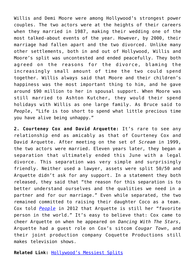Willis and Demi Moore were among Hollywood's strongest power couples. The two actors were at the heights of their careers when they married in 1987, making their wedding one of the most talked-about events of the year. However, by 2000, their marriage had fallen apart and the two divorced. Unlike many other settlements, both in and out of Hollywood, Willis and Moore's split was uncontested and ended peacefully. They both agreed on the reasons for the divorce, blaming the increasingly small amount of time the two could spend together. Willis always said that Moore and their children's happiness was the most important thing to him, and he gave around \$90 million to her in spousal support. When Moore was still married to Ashton Kutcher, they would their spend holidays with Willis as one large family. As Bruce said to *People*, "Life is too short to spend what little precious time you have alive being unhappy."

**2. Courteney Cox and David Arquette:** It's rare to see any relationship end as amicably as that of Courteney Cox and David Arquette. After meeting on the set of *Scream* in 1999, the two actors were married. Eleven years later, they began a separation that ultimately ended this June with a legal divorce. This separation was very simple and surprisingly friendly. Neither used a lawyer, assets were split 50/50 and Arquette didn't ask for any support. In a statement they both released, they said that "the reason for this separation is to better understand ourselves and the qualities we need in a partner and for our marriage." Even while separated, the two remained committed to raising their daughter Coco as a team. Cox told *[People](http://www.people.com/people/article/0,,20560130,00.html)* in 2012 that Arquette is still her "favorite person in the world." It's easy to believe that: Cox came to cheer Arquette on when he appeared on *Dancing With The Stars*, Arquette had a guest role on Cox's sitcom *Cougar Town*, and their joint production company Coquette Productions still makes television shows.

**Related Link:** [Hollywood's Messiest Splits](http://cupidspulse.com/messy-celebrity-breakups-divorces/)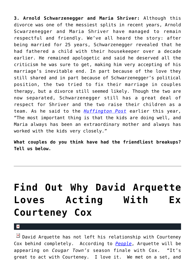**3. Arnold Schwarzenegger and Maria Shriver:** Although this divorce was one of the messiest splits in recent years, Arnold Scwarzenegger and Maria Shriver have managed to remain respectful and friendly. We've all heard the story: after being married for 25 years, Schwarzenegger revealed that he had fathered a child with their housekeeper over a decade earlier. He remained apologetic and said he deserved all the criticism he was sure to get, making him very accepting of his marriage's inevitable end. In part because of the love they still shared and in part because of Schwarzenegger's political position, the two tried to fix their marriage in couples therapy, but a divorce still seemed likely. Though the two are now separated, Schwarzenegger still has a great deal of respect for Shriver and the two raise their children as a team. As he said to the *[Huffington Post](http://www.huffingtonpost.com/2012/05/21/arnold-schwarzenegger-maria_n_1533489.html#s276728&title=Wedding)* earlier this year, "The most important thing is that the kids are doing well, and Maria always has been an extraordinary mother and always has worked with the kids very closely."

**What couples do you think have had the friendliest breakups? Tell us below.**

# **[Find Out Why David Arquette](https://cupidspulse.com/30669/find-out-why-david-arquette-loves-acting-with-ex-courteney-cox/) [Loves Acting With Ex](https://cupidspulse.com/30669/find-out-why-david-arquette-loves-acting-with-ex-courteney-cox/) [Courteney Cox](https://cupidspulse.com/30669/find-out-why-david-arquette-loves-acting-with-ex-courteney-cox/)**

 $\mathbf{x}$ 

 $\boxed{\times}$  David Arquette has not left his relationship with Courteney Cox behind completely. According to *[People](http://www.people.com/people/)*, Arquette will be appearing on *Cougar Town's* season finale with Cox. "It's great to act with Courteney. I love it. We met on a set, and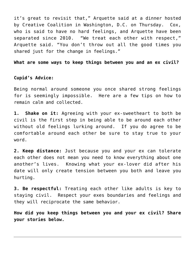it's great to revisit that," Arquette said at a dinner hosted by Creative Coalition in Washington, D.C. on Thursday. Cox, who is said to have no hard feelings, and Arquette have been separated since 2010. "We treat each other with respect," Arquette said. "You don't throw out all the good times you shared just for the change in feelings."

**What are some ways to keep things between you and an ex civil?**

### **Cupid's Advice:**

Being normal around someone you once shared strong feelings for is seemingly impossible. Here are a few tips on how to remain calm and collected.

**1. Shake on it:** Agreeing with your ex-sweetheart to both be civil is the first step in being able to be around each other without old feelings lurking around. If you do agree to be comfortable around each other be sure to stay true to your word.

**2. Keep distance:** Just because you and your ex can tolerate each other does not mean you need to know everything about one another's lives. Knowing what your ex-lover did after his date will only create tension between you both and leave you hurting.

**3. Be respectful:** Treating each other like adults is key to staying civil. Respect your exes boundaries and feelings and they will reciprocate the same behavior.

**How did you keep things between you and your ex civil? Share your stories below.**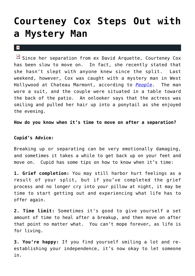### **[Courteney Cox Steps Out with](https://cupidspulse.com/29864/courteney-cox-steps-out-mystery-man-new-couple/) [a Mystery Man](https://cupidspulse.com/29864/courteney-cox-steps-out-mystery-man-new-couple/)**

#### $\mathbf{x}$

 $\boxed{\times}$  Since her separation from ex David Arquette, Courteney Cox has been slow to move on. In fact, she recently stated that she hasn't slept with anyone knew since the split. Last weekend, however, Cox was caught with a mystery man in West Hollywood at Chateau Marmont, according to *[People](http://www.people.com/people/article/0,,20583036,00.html)*. The man wore a suit, and the couple were situated in a table toward the back of the patio. An onlooker says that the actress was smiling and pulled her hair up into a ponytail as she enjoyed the evening.

**How do you know when it's time to move on after a separation?**

### **Cupid's Advice:**

Breaking up or separating can be very emotionally damaging, and sometimes it takes a while to get back up on your feet and move on. Cupid has some tips on how to know when it's time:

**1. Grief completion:** You may still harbor hurt feelings as a result of your split, but if you've completed the grief process and no longer cry into your pillow at night, it may be time to start getting out and experiencing what life has to offer again.

**2. Time limit:** Sometimes it's good to give yourself a set amount of time to heal after a breakup, and then move on after that point no matter what. You can't mope forever, as life is for living.

**3. You're happy:** If you find yourself smiling a lot and reestablishing your independence, it's now okay to let someone in.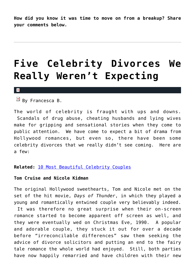**How did you know it was time to move on from a breakup? Share your comments below.**

### **[Five Celebrity Divorces We](https://cupidspulse.com/29789/five-celebrity-divorces-not-expecting/) [Really Weren't Expecting](https://cupidspulse.com/29789/five-celebrity-divorces-not-expecting/)**

#### $\pmb{\times}$

 $\boxed{\times}$  By Francesca B.

The world of celebrity is fraught with ups and downs. Scandals of drug abuse, cheating husbands and lying wives make for gripping and sensational stories when they come to public attention. We have come to expect a bit of drama from Hollywood romances, but even so, there have been some celebrity divorces that we really didn't see coming. Here are a few:

#### **Related:** [10 Most Beautiful Celebrity Couples](http://cupidspulse.com/ten-most-beautiful-celebrity-couples/)

### **Tom Cruise and Nicole Kidman**

The original Hollywood sweethearts, Tom and Nicole met on the set of the hit movie, *Days of Thunder*, in which they played a young and romantically entwined couple very believably indeed.

 It was therefore no great surprise when their on-screen romance started to become apparent off screen as well, and they were eventually wed on Christmas Eve, 1990. A popular and adorable couple, they stuck it out for over a decade before "irreconcilable differences" saw them seeking the advice of divorce solicitors and putting an end to the fairy tale romance the whole world had enjoyed. Still, both parties have now happily remarried and have children with their new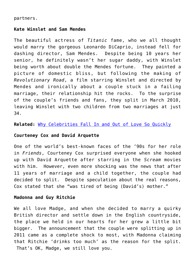#### partners.

#### **Kate Winslet and Sam Mendes**

The beautiful actress of *Titanic* fame, who we all thought would marry the gorgeous Leonardo DiCaprio, instead fell for dashing director, Sam Mendes. Despite being 10 years her senior, he definitely wasn't her sugar daddy, with Winslet being worth about double the Mendes fortune. They painted a picture of domestic bliss, but following the making of *Revolutionary Road*, a film starring Winslet and directed by Mendes and ironically about a couple stuck in a failing marriage, their relationship hit the rocks. To the surprise of the couple's friends and fans, they split in March 2010, leaving Winslet with two children from two marriages at just 34.

**Related:** [Why Celebrities Fall In and Out of Love So Quickly](http://cupidspulse.com/why-celebrities-fall-in-out-love-quickly-whirlwind-romance-heartbreak-divorce/)

#### **Courteney Cox and David Arquette**

One of the world's best-known faces of the '90s for her role in *Friends*, Courteney Cox surprised everyone when she hooked up with David Arquette after starring in the *Scream* movies with him. However, even more shocking was the news that after 11 years of marriage and a child together, the couple had decided to split. Despite speculation about the real reasons, Cox stated that she "was tired of being (David's) mother."

#### **Madonna and Guy Ritchie**

We all love Madge, and when she decided to marry a quirky British director and settle down in the English countryside, the place we held in our hearts for her grew a little bit bigger. The announcement that the couple were splitting up in 2011 came as a complete shock to most, with Madonna claiming that Ritchie 'drinks too much' as the reason for the split. That's OK, Madge, we still love you.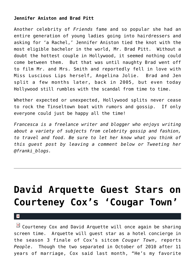### **Jennifer Aniston and Brad Pitt**

Another celebrity of *Friends* fame and so popular she had an entire generation of young ladies going into hairdressers and asking for 'a Rachel,' Jennifer Aniston tied the knot with the most eligible bachelor in the world, Mr. Brad Pitt. Without a doubt the hottest couple in Hollywood, it seemed nothing could come between them. But that was until naughty Brad went off to film Mr. and Mrs. Smith and reportedly fell in love with Miss Luscious Lips herself, Angelina Jolie. Brad and Jen split a few months later, back in 2005, but even today Hollywood still rumbles with the scandal from time to time.

Whether expected or unexpected, Hollywood splits never cease to rock the Tinseltown boat with rumors and gossip. If only everyone could just be happy all the time!

*Francesca is a freelance writer and blogger who enjoys writing about a variety of subjects from celebrity gossip and fashion, to travel and food. Be sure to let her know what you think of this guest post by leaving a comment below or Tweeting her @franki\_blogs.*

## **[David Arquette Guest Stars on](https://cupidspulse.com/26136/david-arquette-guest-stars-courteney-cox-ex-wife-cougar-town-tv-show/) [Courteney Cox's 'Cougar Town'](https://cupidspulse.com/26136/david-arquette-guest-stars-courteney-cox-ex-wife-cougar-town-tv-show/)**

 $\pmb{\times}$ 

 $\boxed{\times}$  Courteney Cox and David Arquette will once again be sharing screen time. Arquette will guest star as a hotel concierge in the season 3 finale of Cox's sitcom *Cougar Town*, reports *People*. Though the two separated in October of 2010 after 11 years of marriage, Cox said last month, "He's my favorite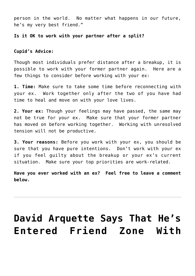person in the world. No matter what happens in our future, he's my very best friend."

### **Is it OK to work with your partner after a split?**

#### **Cupid's Advice:**

Though most individuals prefer distance after a breakup, it is possible to work with your former partner again. Here are a few things to consider before working with your ex:

**1. Time:** Make sure to take some time before reconnecting with your ex. Work together only after the two of you have had time to heal and move on with your love lives.

**2. Your ex:** Though your feelings may have passed, the same may not be true for your ex. Make sure that your former partner has moved on before working together. Working with unresolved tension will not be productive.

**3. Your reasons:** Before you work with your ex, you should be sure that you have pure intentions. Don't work with your ex if you feel guilty about the breakup or your ex's current situation. Make sure your top priorities are work-related.

**Have you ever worked with an ex? Feel free to leave a comment below.**

### **[David Arquette Says That He's](https://cupidspulse.com/21225/david-arquette-dancing-with-the-stars-says-entered-friend-zone-courteney-cox-friends-cougar-town/) [Entered Friend Zone With](https://cupidspulse.com/21225/david-arquette-dancing-with-the-stars-says-entered-friend-zone-courteney-cox-friends-cougar-town/)**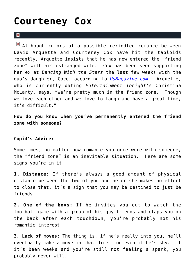### **[Courteney Cox](https://cupidspulse.com/21225/david-arquette-dancing-with-the-stars-says-entered-friend-zone-courteney-cox-friends-cougar-town/)**

#### $\mathbf{R}$

 $\boxed{\times}$  Although rumors of a possible rekindled romance between David Arquette and Courteney Cox have hit the tabloids recently, Arquette insists that he has now entered the "friend zone" with his estranged wife. Cox has been seen supporting her ex at *Dancing With the Stars* the last few weeks with the duo's daughter, Coco, according to *[UsMagazine.com](http://www.usmagazine.com/celebritynews/news/david-arquette-ive-entered-friend-zone-with-courteney-cox-2011410)*. Arquette, who is currently dating *Entertainment Tonight*'s Christina McLarty, says, "We're pretty much in the friend zone. Though we love each other and we love to laugh and have a great time, it's difficult."

**How do you know when you've permanently entered the friend zone with someone?**

### **Cupid's Advice:**

Sometimes, no matter how romance you once were with someone, the "friend zone" is an inevitable situation. Here are some signs you're in it:

**1. Distance:** If there's always a good amount of physical distance between the two of you and he or she makes no effort to close that, it's a sign that you may be destined to just be friends.

**2. One of the boys:** If he invites you out to watch the football game with a group of his guy friends and claps you on the back after each touchdown, you're probably not his romantic interest.

**3. Lack of moves:** The thing is, if he's really into you, he'll eventually make a move in that direction even if he's shy. If it's been weeks and you're still not feeling a spark, you probably never will.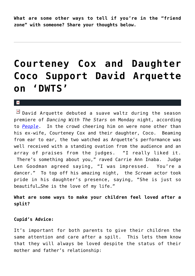**What are some other ways to tell if you're in the "friend zone" with someone? Share your thoughts below.**

### **[Courteney Cox and Daughter](https://cupidspulse.com/20366/courteney-cox-daughter-coco-support-david-arquette-dancing-with-the-stars-dwts/) [Coco Support David Arquette](https://cupidspulse.com/20366/courteney-cox-daughter-coco-support-david-arquette-dancing-with-the-stars-dwts/) [on 'DWTS'](https://cupidspulse.com/20366/courteney-cox-daughter-coco-support-david-arquette-dancing-with-the-stars-dwts/)**

#### $\mathbf{x}$

 $\boxed{\times}$  David Arquette debuted a suave waltz during the season premiere of *Dancing With The Stars* on Monday night, according to *[People](http://www.people.com/people/article/0,,20529908,00.html)*. In the crowd cheering him on were none other than his ex-wife, Courteney Cox and their daughter, Coco. Beaming from ear to ear, the two watched as Arquette's performance was well received with a standing ovation from the audience and an array of praises from the judges. "I really liked it. There's something about you," raved Carrie Ann Inaba. Judge Len Goodman agreed saying, "I was impressed. You're a dancer." To top off his amazing night, the *Scream* actor took pride in his daughter's presence, saying, "She is just so beautiful…She is the love of my life."

### **What are some ways to make your children feel loved after a split?**

### **Cupid's Advice:**

It's important for both parents to give their children the same attention and care after a spilt. This lets them know that they will always be loved despite the status of their mother and father's relationship: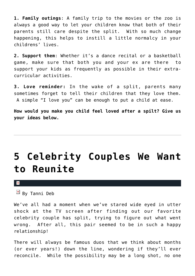**1. Family outings**: A family trip to the movies or the zoo is always a good way to let your children know that both of their parents still care despite the split. With so much change happening, this helps to instill a little normalcy in your childrens' lives.

**2. Support them**: Whether it's a dance recital or a basketball game, make sure that both you and your ex are there to support your kids as frequently as possible in their extracurricular activities.

**3. Love reminder:** In the wake of a split, parents many sometimes forget to tell their children that they love them. A simple "I love you" can be enough to put a child at ease.

**How would you make you child feel loved after a spilt? Give us your ideas below.**

### **[5 Celebrity Couples We Want](https://cupidspulse.com/14958/5-celebrity-couples-reunite/) [to Reunite](https://cupidspulse.com/14958/5-celebrity-couples-reunite/)**

 $\mathbf x$ 

 $B_y$  Tanni Deb

We've all had a moment when we've stared wide eyed in utter shock at the TV screen after finding out our favorite celebrity couple has split, trying to figure out what went wrong. After all, this pair seemed to be in such a happy relationship!

There will always be famous duos that we think about months (or ever years!) down the line, wondering if they'll ever reconcile. While the possibility may be a long shot, no one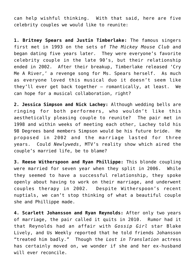can help wishful thinking. With that said, here are five celebrity couples we would like to reunite:

**1. Britney Spears and Justin Timberlake:** The famous singers first met in 1993 on the sets of *The Mickey Mouse Club* and began dating five years later. They were everyone's favorite celebrity couple in the late 90's, but their relationship ended in 2002. After their breakup, Timberlake released 'Cry Me A River,' a revenge song for Ms. Spears herself. As much as everyone loved this musical duo it doesn't seem like they'll ever get back together – romantically, at least. We can hope for a musical collaboration, right?

**2. Jessica Simpson and Nick Lachey:** Although wedding bells are ringing for both performers, who wouldn't like this aesthetically pleasing couple to reunite? The pair met in 1998 and within weeks of meeting each other, Lachey told his 98 Degrees band members Simpson would be his future bride. He proposed in 2002 and the marriage lasted for three years. Could *Newlyweds*, MTV's reality show which aired the couple's married life, be to blame?

**3. Reese Witherspoon and Ryan Phillippe:** This blonde coupling were married for seven year when they split in 2006. While they seemed to have a successful relationship, they spoke openly about having to work on their marriage, and underwent couples therapy in 2002. Despite Witherspoon's recent nuptials, we can't stop thinking of what a beautiful couple she and Phillippe made.

**4. Scarlett Johansson and Ryan Reynolds:** After only two years of marriage, the pair called it quits in 2010. Rumor had it that Reynolds had an affair with *Gossip Girl* star Blake Lively, and Us Weekly reported that he told friends Johansson "treated him badly." Though the *Lost in Translation* actress has certainly moved on, we wonder if she and her ex-husband will ever reconcile.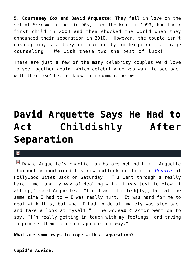**5. Courteney Cox and David Arquette:** They fell in love on the set of *Scream* in the mid-90s, tied the knot in 1999, had their first child in 2004 and then shocked the world when they announced their separation in 2010. However, the couple isn't giving up, as they're currently undergoing marriage counseling. We wish these two the best of luck!

These are just a few of the many celebrity couples we'd love to see together again. Which celebrity do *you* want to see back with their ex? Let us know in a comment below!

### **[David Arquette Says He Had to](https://cupidspulse.com/13993/david-arquette-says-he-had-to-act-childishly-after-separation/) [Act Childishly After](https://cupidspulse.com/13993/david-arquette-says-he-had-to-act-childishly-after-separation/) [Separation](https://cupidspulse.com/13993/david-arquette-says-he-had-to-act-childishly-after-separation/)**

### $\mathbf{R}$

 $\boxed{\times}$  David Arquette's chaotic months are behind him. Arquette thoroughly explained his new outlook on life to *[People](http://www.people.com/people/article/0,,20482774,00.html)* at Hollywood Bites Back on Saturday. " I went through a really hard time, and my way of dealing with it was just to blow it all up," said Arquette. "I did act childish[ly], but at the same time I had to  $-$  I was really hurt. It was hard for me to deal with this, but what I had to do ultimately was step back and take a look at myself." The *Scream 4* actor went on to say, "I'm really getting in touch with my feelings, and trying to process them in a more appropriate way."

**What are some ways to cope with a separation?**

**Cupid's Advice:**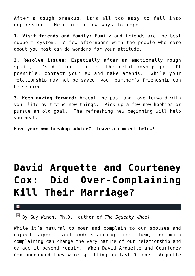After a tough breakup, it's all too easy to fall into depression. Here are a few ways to cope:

**1. Visit friends and family:** Family and friends are the best support system. A few afternoons with the people who care about you most can do wonders for your attitude.

**2. Resolve issues:** Especially after an emotionally rough split, it's difficult to let the relationship go. If possible, contact your ex and make amends. While your relationship may not be saved, your partner's friendship can be secured.

**3. Keep moving forward:** Accept the past and move forward with your life by trying new things. Pick up a few new hobbies or pursue an old goal. The refreshing new beginning will help you heal.

**Have your own breakup advice? Leave a comment below!**

# **[David Arquette and Courteney](https://cupidspulse.com/13079/david-arquette-and-courteney-cox-did-over-complaining-kill-their-marriage/) [Cox: Did Over-Complaining](https://cupidspulse.com/13079/david-arquette-and-courteney-cox-did-over-complaining-kill-their-marriage/) [Kill Their Marriage?](https://cupidspulse.com/13079/david-arquette-and-courteney-cox-did-over-complaining-kill-their-marriage/)**

x

By Guy Winch, Ph.D., author of *The Squeaky Wheel*

While it's natural to moan and complain to our spouses and expect support and understanding from them, too much complaining can change the very nature of our relationship and damage it beyond repair. When David Arquette and Courteney Cox announced they were splitting up last October, Arquette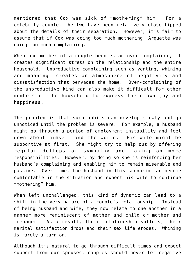mentioned that Cox was sick of "mothering" him. For a celebrity couple, the two have been relatively close-lipped about the details of their separation. However, it's fair to assume that if Cox was doing too much mothering, Arquette was doing too much complaining.

When one member of a couple becomes an over-complainer, it creates significant stress on the relationship and the entire household. Unproductive complaining such as venting, whining and moaning, creates an atmosphere of negativity and dissatisfaction that pervades the home. Over-complaining of the unproductive kind can also make it difficult for other members of the household to express their own joy and happiness.

The problem is that such habits can develop slowly and go unnoticed until the problem is severe. For example, a husband might go through a period of employment instability and feel down about himself and the world. His wife might be supportive at first. She might try to help out by offering regular dollops of sympathy and taking on more responsibilities. However, by doing so she is reinforcing her husband's complaining and enabling him to remain miserable and passive. Over time, the husband in this scenario can become comfortable in the situation and expect his wife to continue "mothering" him.

When left unchallenged, this kind of dynamic can lead to a shift in the very nature of a couple's relationship. Instead of being husband and wife, they now relate to one another in a manner more reminiscent of mother and child or mother and teenager. As a result, their relationship suffers, their marital satisfaction drops and their sex life erodes. Whining is rarely a turn on.

Although it's natural to go through difficult times and expect support from our spouses, couples should never let negative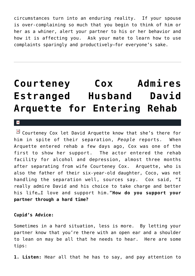circumstances turn into an enduring reality. If your spouse is over-complaining so much that you begin to think of him or her as a whiner, alert your partner to his or her behavior and how it is affecting you. Ask your mate to learn how to use complaints sparingly and productively–for everyone's sake.

### **[Courteney Cox Admires](https://cupidspulse.com/9054/courteney-cox-admires-estranged-husband-david-arquette-for-entering-rehab/) [Estranged Husband David](https://cupidspulse.com/9054/courteney-cox-admires-estranged-husband-david-arquette-for-entering-rehab/) [Arquette for Entering Rehab](https://cupidspulse.com/9054/courteney-cox-admires-estranged-husband-david-arquette-for-entering-rehab/)**

 $\mathbf{R}$ 

 $\boxed{\times}$  Courteney Cox let David Arquette know that she's there for him in spite of their separation, *People* reports. When Arquette entered rehab a few days ago, Cox was one of the first to show her support. The actor entered the rehab facility for alcohol and depression, almost three months after separating from wife Courteney Cox. Arquette, who is also the father of their six-year-old daughter, Coco, was not handling the separation well, sources say. Cox said, "I really admire David and his choice to take charge and better his life…I love and support him."**How do you support your partner through a hard time?**

### **Cupid's Advice:**

Sometimes in a hard situation, less is more. By letting your partner know that you're there with an open ear and a shoulder to lean on may be all that he needs to hear. Here are some tips:

**1. Listen:** Hear all that he has to say, and pay attention to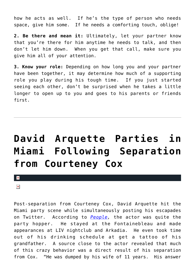how he acts as well. If he's the type of person who needs space, give him some. If he needs a comforting touch, oblige!

**2. Be there and mean it:** Ultimately, let your partner know that you're there for him anytime he needs to talk, and then don't let him down. When you get that call, make sure you give him all of your attention.

**3. Know your role:** Depending on how long you and your partner have been together, it may determine how much of a supporting role you play during his tough time. If you just started seeing each other, don't be surprised when he takes a little longer to open up to you and goes to his parents or friends first.

# **[David Arquette Parties in](https://cupidspulse.com/7442/david-arquette-parties-in-miami-following-separation-from-courteney-cox/) [Miami Following Separation](https://cupidspulse.com/7442/david-arquette-parties-in-miami-following-separation-from-courteney-cox/) [from Courteney Cox](https://cupidspulse.com/7442/david-arquette-parties-in-miami-following-separation-from-courteney-cox/)**

 $\pmb{\times}$ 

 $\pmb{\times}$ 

Post-separation from Courteney Cox, David Arquette hit the Miami party scene while simultaneously posting his escapades on Twitter. According to *[People,](http://www.people.com/people/article/0,,20444170,00.html)* the actor was quite the party hopper. He stayed at the Fontainebleau and made appearances at LIV nightclub and Arkadia. He even took time out of his drinking schedule at get a tattoo of his grandfather. A source close to the actor revealed that much of this crazy behavior was a direct result of his separation from Cox. "He was dumped by his wife of 11 years. His answer